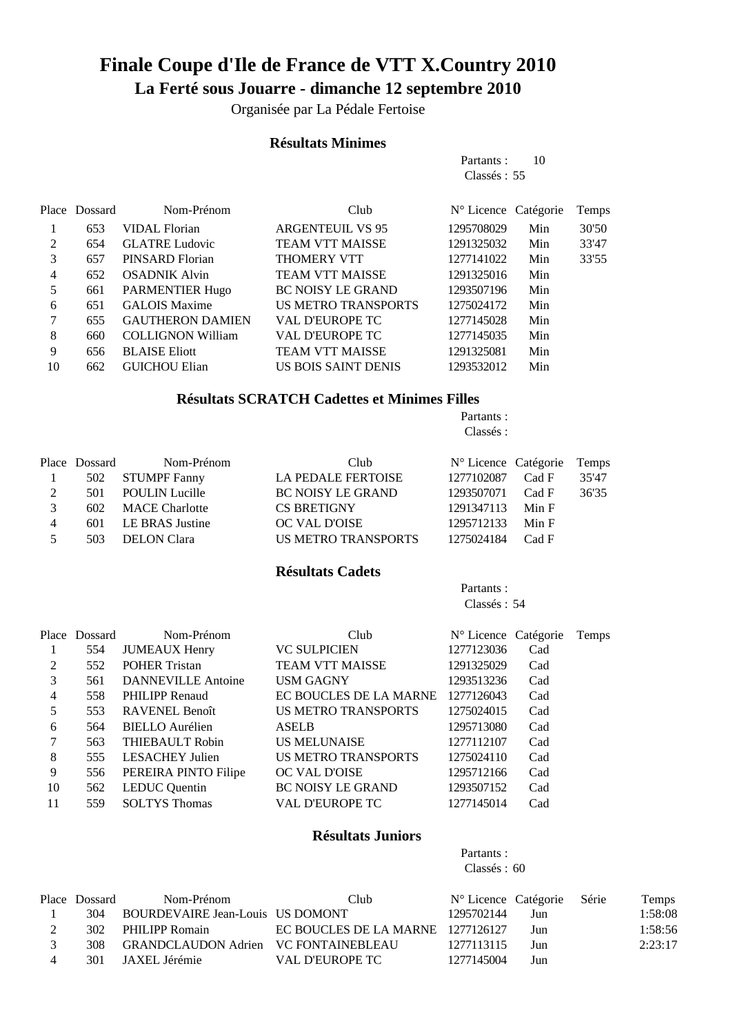# **Finale Coupe d'Ile de France de VTT X.Country 2010 La Ferté sous Jouarre - dimanche 12 septembre 2010**

Organisée par La Pédale Fertoise

#### **Résultats Minimes**

| Partants :  |  | 10 |
|-------------|--|----|
| Classes: 55 |  |    |

|    | Place Dossard | Nom-Prénom               | Club                       | $N^{\circ}$ Licence Catégorie |     | Temps |
|----|---------------|--------------------------|----------------------------|-------------------------------|-----|-------|
|    | 653           | <b>VIDAL Florian</b>     | <b>ARGENTEUIL VS 95</b>    | 1295708029                    | Min | 30'50 |
| 2  | 654           | <b>GLATRE Ludovic</b>    | <b>TEAM VTT MAISSE</b>     | 1291325032                    | Min | 33'47 |
| 3  | 657           | PINSARD Florian          | <b>THOMERY VTT</b>         | 1277141022                    | Min | 33'55 |
| 4  | 652           | <b>OSADNIK Alvin</b>     | <b>TEAM VTT MAISSE</b>     | 1291325016                    | Min |       |
| 5  | 661           | <b>PARMENTIER Hugo</b>   | <b>BC NOISY LE GRAND</b>   | 1293507196                    | Min |       |
| 6  | 651           | <b>GALOIS Maxime</b>     | <b>US METRO TRANSPORTS</b> | 1275024172                    | Min |       |
|    | 655           | <b>GAUTHERON DAMIEN</b>  | <b>VAL D'EUROPE TC</b>     | 1277145028                    | Min |       |
| 8  | 660           | <b>COLLIGNON William</b> | <b>VAL D'EUROPE TC</b>     | 1277145035                    | Min |       |
| 9  | 656           | <b>BLAISE Eliott</b>     | <b>TEAM VTT MAISSE</b>     | 1291325081                    | Min |       |
| 10 | 662           | <b>GUICHOU Elian</b>     | US BOIS SAINT DENIS        | 1293532012                    | Min |       |

### **Résultats SCRATCH Cadettes et Minimes Filles**

Partants : Classés :

|                | Place Dossard | Nom-Prénom            | Club                       | $N^{\circ}$ Licence Catégorie |       | Temps |
|----------------|---------------|-----------------------|----------------------------|-------------------------------|-------|-------|
|                | 502           | <b>STUMPF Fanny</b>   | LA PEDALE FERTOISE         | 1277102087 Cad F              |       | 35'47 |
| 2              | 501           | <b>POULIN Lucille</b> | <b>BC NOISY LE GRAND</b>   | 1293507071 Cad F              |       | 36'35 |
| $\mathcal{R}$  | 602           | <b>MACE Charlotte</b> | <b>CS BRETIGNY</b>         | 1291347113 Min F              |       |       |
| $\overline{4}$ | 601           | LE BRAS Justine       | OC VAL D'OISE              | 1295712133 Min F              |       |       |
| 5.             | 503           | <b>DELON</b> Clara    | <b>US METRO TRANSPORTS</b> | 1275024184                    | Cad F |       |

#### **Résultats Cadets**

Partants : Classés : 54

|                | Place Dossard | Nom-Prénom                | Club                       | N° Licence Catégorie |     | Temps |
|----------------|---------------|---------------------------|----------------------------|----------------------|-----|-------|
|                | 554           | <b>JUMEAUX Henry</b>      | <b>VC SULPICIEN</b>        | 1277123036           | Cad |       |
| 2              | 552           | <b>POHER Tristan</b>      | <b>TEAM VTT MAISSE</b>     | 1291325029           | Cad |       |
| 3              | 561           | <b>DANNEVILLE Antoine</b> | <b>USM GAGNY</b>           | 1293513236           | Cad |       |
| $\overline{4}$ | 558           | PHILIPP Renaud            | EC BOUCLES DE LA MARNE     | 1277126043           | Cad |       |
| 5              | 553           | <b>RAVENEL Benoît</b>     | US METRO TRANSPORTS        | 1275024015           | Cad |       |
| 6              | 564           | <b>BIELLO</b> Aurélien    | <b>ASELB</b>               | 1295713080           | Cad |       |
|                | 563           | THIEBAULT Robin           | <b>US MELUNAISE</b>        | 1277112107           | Cad |       |
| 8              | 555           | <b>LESACHEY Julien</b>    | <b>US METRO TRANSPORTS</b> | 1275024110           | Cad |       |
| 9              | 556           | PEREIRA PINTO Filipe      | OC VAL D'OISE              | 1295712166           | Cad |       |
| 10             | 562           | <b>LEDUC</b> Quentin      | <b>BC NOISY LE GRAND</b>   | 1293507152           | Cad |       |
| 11             | 559           | <b>SOLTYS Thomas</b>      | <b>VAL D'EUROPE TC</b>     | 1277145014           | Cad |       |
|                |               |                           |                            |                      |     |       |

## **Résultats Juniors**

Partants : Classés : 60

|                | Place Dossard | Nom-Prénom                           | Club.                             | N° Licence Catégorie Série |     | Temps   |
|----------------|---------------|--------------------------------------|-----------------------------------|----------------------------|-----|---------|
|                | 304           | BOURDEVAIRE Jean-Louis US DOMONT     |                                   | 1295702144                 | Jun | 1:58:08 |
|                |               | 302 PHILIPP Romain                   | EC BOUCLES DE LA MARNE 1277126127 |                            | Jun | 1:58:56 |
|                | 308           | GRANDCLAUDON Adrien VC FONTAINEBLEAU |                                   | 1277113115                 | Jun | 2:23:17 |
| $\overline{4}$ | 301           | JAXEL Jérémie                        | VAL D'EUROPE TC                   | 1277145004                 | Jun |         |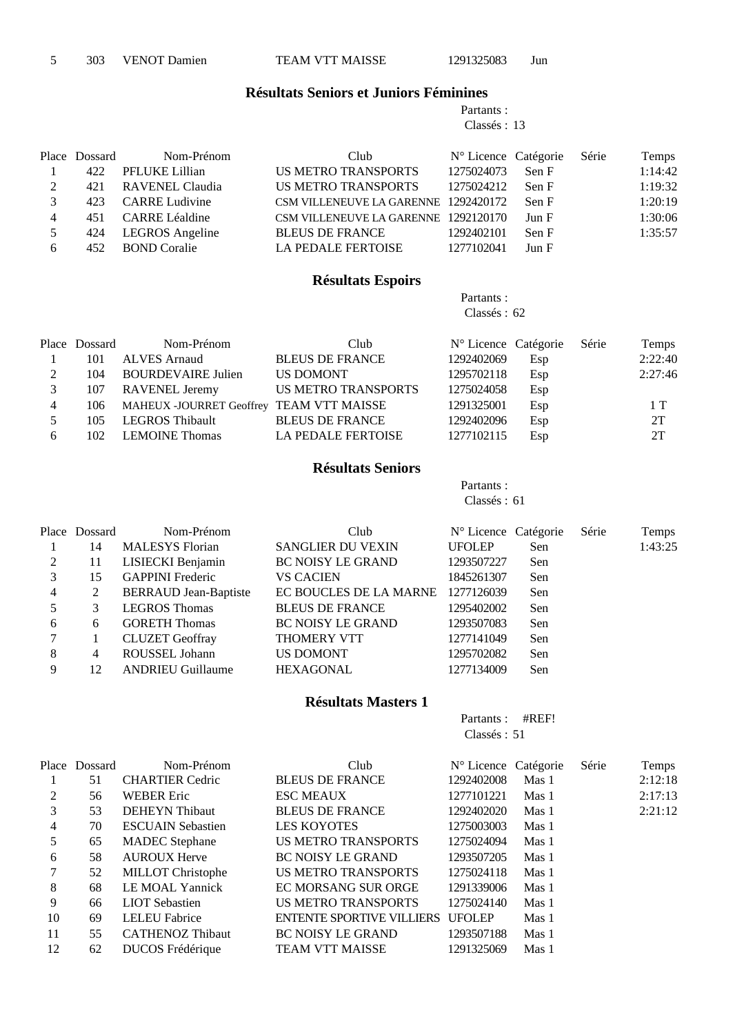5 303 VENOT Damien TEAM VTT MAISSE 1291325083 Jun

#### **Résultats Seniors et Juniors Féminines**

Partants : Classés : 13

|   | Place Dossard | Nom-Prénom             | Club                                 | $N^{\circ}$ Licence Catégorie |       | Série | Temps   |
|---|---------------|------------------------|--------------------------------------|-------------------------------|-------|-------|---------|
|   | 422           | PFLUKE Lillian         | US METRO TRANSPORTS                  | 1275024073                    | Sen F |       | 1:14:42 |
| 2 | 421           | <b>RAVENEL Claudia</b> | <b>US METRO TRANSPORTS</b>           | 1275024212                    | Sen F |       | 1:19:32 |
|   | 423           | <b>CARRE Ludivine</b>  | CSM VILLENEUVE LA GARENNE 1292420172 |                               | Sen F |       | 1:20:19 |
| 4 | 451           | CARRE Léaldine         | CSM VILLENEUVE LA GARENNE 1292120170 |                               | Jun F |       | 1:30:06 |
| 5 | 424           | <b>LEGROS</b> Angeline | <b>BLEUS DE FRANCE</b>               | 1292402101                    | Sen F |       | 1:35:57 |
| 6 | 452           | <b>BOND</b> Coralie    | <b>LA PEDALE FERTOISE</b>            | 1277102041                    | Jun F |       |         |

## **Résultats Espoirs**

Partants : Classés : 62

|                | Place Dossard | Nom-Prénom                               | Club                       | $N^{\circ}$ Licence Catégorie |     | Série | Temps   |
|----------------|---------------|------------------------------------------|----------------------------|-------------------------------|-----|-------|---------|
|                | 101           | <b>ALVES</b> Arnaud                      | <b>BLEUS DE FRANCE</b>     | 1292402069                    | Esp |       | 2:22:40 |
| 2              | 104           | <b>BOURDEVAIRE Julien</b>                | US DOMONT                  | 1295702118                    | Esp |       | 2:27:46 |
| 3              | 107           | <b>RAVENEL Jeremy</b>                    | <b>US METRO TRANSPORTS</b> | 1275024058                    | Esp |       |         |
| $\overline{4}$ | 106           | MAHEUX -JOURRET Geoffrey TEAM VTT MAISSE |                            | 1291325001                    | Esp |       | 1T      |
|                | 105           | LEGROS Thibault                          | <b>BLEUS DE FRANCE</b>     | 1292402096                    | Esp |       | 2T      |
| 6              | 102           | <b>LEMOINE Thomas</b>                    | <b>LA PEDALE FERTOISE</b>  | 1277102115                    | Esp |       | 2T      |

#### **Résultats Seniors**

Partants : Classés : 61

|   | Place Dossard | Nom-Prénom                   | Club                     | N° Licence Catégorie |     | Série | Temps   |
|---|---------------|------------------------------|--------------------------|----------------------|-----|-------|---------|
|   | 14            | <b>MALESYS</b> Florian       | <b>SANGLIER DU VEXIN</b> | <b>UFOLEP</b>        | Sen |       | 1:43:25 |
| 2 | 11            | LISIECKI Benjamin            | <b>BC NOISY LE GRAND</b> | 1293507227           | Sen |       |         |
| 3 | 15            | <b>GAPPINI</b> Frederic      | <b>VS CACIEN</b>         | 1845261307           | Sen |       |         |
| 4 | 2             | <b>BERRAUD</b> Jean-Baptiste | EC BOUCLES DE LA MARNE   | 1277126039           | Sen |       |         |
| 5 | 3             | <b>LEGROS Thomas</b>         | <b>BLEUS DE FRANCE</b>   | 1295402002           | Sen |       |         |
| 6 | 6             | <b>GORETH Thomas</b>         | <b>BC NOISY LE GRAND</b> | 1293507083           | Sen |       |         |
|   |               | <b>CLUZET</b> Geoffray       | <b>THOMERY VTT</b>       | 1277141049           | Sen |       |         |
| 8 | 4             | ROUSSEL Johann               | <b>US DOMONT</b>         | 1295702082           | Sen |       |         |
| 9 | 12            | <b>ANDRIEU Guillaume</b>     | <b>HEXAGONAL</b>         | 1277134009           | Sen |       |         |

#### **Résultats Masters 1**

Partants : #REF! Classés : 51

|                | Place Dossard | Nom-Prénom               | Club                             | N° Licence Catégorie |       | Série | Temps   |
|----------------|---------------|--------------------------|----------------------------------|----------------------|-------|-------|---------|
|                | 51            | <b>CHARTIER Cedric</b>   | <b>BLEUS DE FRANCE</b>           | 1292402008           | Mas 1 |       | 2:12:18 |
| 2              | 56            | <b>WEBER Eric</b>        | <b>ESC MEAUX</b>                 | 1277101221           | Mas 1 |       | 2:17:13 |
| 3              | 53            | <b>DEHEYN</b> Thibaut    | <b>BLEUS DE FRANCE</b>           | 1292402020           | Mas 1 |       | 2:21:12 |
| $\overline{4}$ | 70            | <b>ESCUAIN Sebastien</b> | <b>LES KOYOTES</b>               | 1275003003           | Mas 1 |       |         |
| 5              | 65            | <b>MADEC</b> Stephane    | <b>US METRO TRANSPORTS</b>       | 1275024094           | Mas 1 |       |         |
| 6              | 58            | <b>AUROUX Herve</b>      | <b>BC NOISY LE GRAND</b>         | 1293507205           | Mas 1 |       |         |
| $\tau$         | 52            | <b>MILLOT</b> Christophe | US METRO TRANSPORTS              | 1275024118           | Mas 1 |       |         |
| 8              | 68            | LE MOAL Yannick          | EC MORSANG SUR ORGE              | 1291339006           | Mas 1 |       |         |
| 9              | 66            | <b>LIOT</b> Sebastien    | US METRO TRANSPORTS              | 1275024140           | Mas 1 |       |         |
| 10             | 69            | <b>LELEU Fabrice</b>     | ENTENTE SPORTIVE VILLIERS UFOLEP |                      | Mas 1 |       |         |
| 11             | 55            | <b>CATHENOZ Thibaut</b>  | <b>BC NOISY LE GRAND</b>         | 1293507188           | Mas 1 |       |         |
| 12             | 62            | DUCOS Frédérique         | TEAM VTT MAISSE                  | 1291325069           | Mas 1 |       |         |